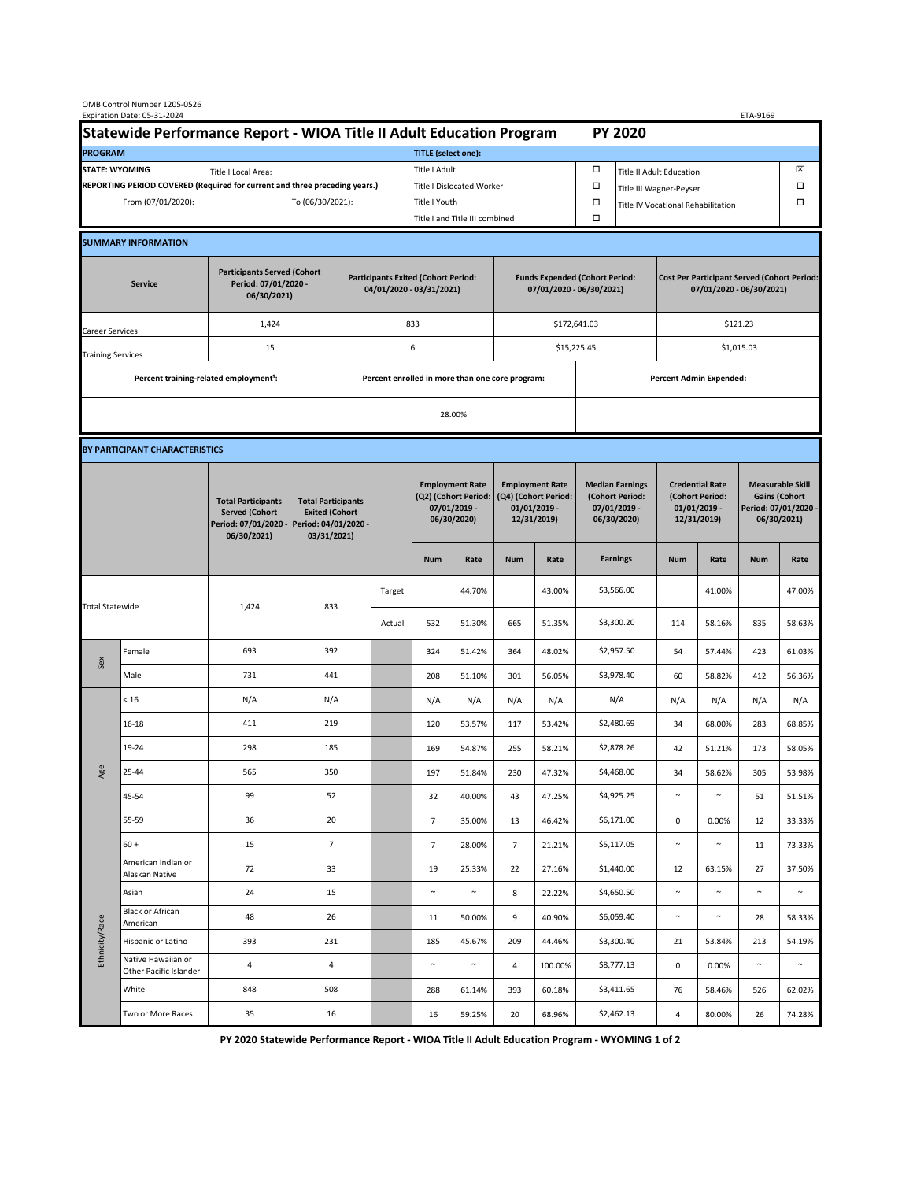| OMB Control Number 1205-0526<br>Expiration Date: 05-31-2024<br>ETA-9169                     |                                                    |                                                                                           |                                                                                           |                                                                        |                                |                                                                                 |        |                                                                                 |                                |                                                                            |                                    |                                                                                |        |                                                                                        |        |  |
|---------------------------------------------------------------------------------------------|----------------------------------------------------|-------------------------------------------------------------------------------------------|-------------------------------------------------------------------------------------------|------------------------------------------------------------------------|--------------------------------|---------------------------------------------------------------------------------|--------|---------------------------------------------------------------------------------|--------------------------------|----------------------------------------------------------------------------|------------------------------------|--------------------------------------------------------------------------------|--------|----------------------------------------------------------------------------------------|--------|--|
| Statewide Performance Report - WIOA Title II Adult Education Program                        |                                                    |                                                                                           |                                                                                           |                                                                        |                                | <b>PY 2020</b>                                                                  |        |                                                                                 |                                |                                                                            |                                    |                                                                                |        |                                                                                        |        |  |
| <b>PROGRAM</b>                                                                              |                                                    |                                                                                           |                                                                                           |                                                                        |                                | <b>TITLE</b> (select one):                                                      |        |                                                                                 |                                |                                                                            |                                    |                                                                                |        |                                                                                        |        |  |
| <b>STATE: WYOMING</b><br>Title I Local Area:                                                |                                                    |                                                                                           |                                                                                           |                                                                        |                                | Title I Adult                                                                   |        |                                                                                 |                                | □<br><b>Title II Adult Education</b>                                       |                                    |                                                                                |        |                                                                                        | ⊠      |  |
| REPORTING PERIOD COVERED (Required for current and three preceding years.)                  |                                                    |                                                                                           |                                                                                           |                                                                        |                                | Title I Dislocated Worker                                                       |        |                                                                                 | Ω                              | Title III Wagner-Peyser                                                    |                                    |                                                                                |        | □                                                                                      |        |  |
| From (07/01/2020):                                                                          |                                                    |                                                                                           | To (06/30/2021):                                                                          |                                                                        |                                | Title I Youth                                                                   |        |                                                                                 |                                | $\Box$                                                                     | Title IV Vocational Rehabilitation |                                                                                |        | □                                                                                      |        |  |
|                                                                                             |                                                    |                                                                                           |                                                                                           |                                                                        | Title I and Title III combined |                                                                                 |        |                                                                                 | Ω                              |                                                                            |                                    |                                                                                |        |                                                                                        |        |  |
|                                                                                             | <b>SUMMARY INFORMATION</b>                         |                                                                                           |                                                                                           |                                                                        |                                |                                                                                 |        |                                                                                 |                                |                                                                            |                                    |                                                                                |        |                                                                                        |        |  |
| <b>Participants Served (Cohort</b><br>Period: 07/01/2020 -<br><b>Service</b><br>06/30/2021) |                                                    |                                                                                           |                                                                                           | <b>Participants Exited (Cohort Period:</b><br>04/01/2020 - 03/31/2021) |                                |                                                                                 |        | <b>Funds Expended (Cohort Period:</b><br>07/01/2020 - 06/30/2021)               |                                |                                                                            |                                    | <b>Cost Per Participant Served (Cohort Period:</b><br>07/01/2020 - 06/30/2021) |        |                                                                                        |        |  |
| Career Services                                                                             |                                                    | 1,424                                                                                     |                                                                                           |                                                                        |                                | 833                                                                             |        |                                                                                 |                                | \$172,641.03                                                               |                                    | \$121.23                                                                       |        |                                                                                        |        |  |
| <b>Training Services</b>                                                                    |                                                    | 15                                                                                        |                                                                                           | 6                                                                      |                                |                                                                                 |        |                                                                                 |                                | \$15,225.45                                                                |                                    | \$1,015.03                                                                     |        |                                                                                        |        |  |
|                                                                                             | Percent training-related employment <sup>1</sup> : |                                                                                           | Percent enrolled in more than one core program:                                           |                                                                        |                                |                                                                                 |        |                                                                                 | <b>Percent Admin Expended:</b> |                                                                            |                                    |                                                                                |        |                                                                                        |        |  |
|                                                                                             |                                                    |                                                                                           |                                                                                           |                                                                        |                                |                                                                                 |        |                                                                                 |                                |                                                                            |                                    |                                                                                |        |                                                                                        |        |  |
|                                                                                             |                                                    |                                                                                           |                                                                                           | 28.00%                                                                 |                                |                                                                                 |        |                                                                                 |                                |                                                                            |                                    |                                                                                |        |                                                                                        |        |  |
|                                                                                             | BY PARTICIPANT CHARACTERISTICS                     |                                                                                           |                                                                                           |                                                                        |                                |                                                                                 |        |                                                                                 |                                |                                                                            |                                    |                                                                                |        |                                                                                        |        |  |
|                                                                                             |                                                    | <b>Total Participants</b><br><b>Served (Cohort</b><br>Period: 07/01/2020 -<br>06/30/2021) | <b>Total Participants</b><br><b>Exited (Cohort</b><br>Period: 04/01/2020 -<br>03/31/2021) |                                                                        |                                | <b>Employment Rate</b><br>(Q2) (Cohort Period:<br>$07/01/2019$ -<br>06/30/2020) |        | <b>Employment Rate</b><br>(Q4) (Cohort Period:<br>$01/01/2019$ -<br>12/31/2019) |                                | <b>Median Earnings</b><br>(Cohort Period:<br>$07/01/2019 -$<br>06/30/2020) |                                    | <b>Credential Rate</b><br>(Cohort Period:<br>$01/01/2019$ -<br>12/31/2019)     |        | <b>Measurable Skill</b><br><b>Gains (Cohort</b><br>Period: 07/01/2020 -<br>06/30/2021) |        |  |
|                                                                                             |                                                    |                                                                                           |                                                                                           |                                                                        |                                | <b>Num</b>                                                                      | Rate   | <b>Num</b>                                                                      | Rate                           |                                                                            | <b>Earnings</b>                    | <b>Num</b>                                                                     | Rate   | <b>Num</b>                                                                             | Rate   |  |
| <b>Total Statewide</b>                                                                      |                                                    | 1,424                                                                                     | 833                                                                                       |                                                                        | Target                         |                                                                                 | 44.70% |                                                                                 | 43.00%                         |                                                                            | \$3,566.00                         |                                                                                | 41.00% |                                                                                        | 47.00% |  |
|                                                                                             |                                                    |                                                                                           |                                                                                           |                                                                        | Actual                         | 532                                                                             | 51.30% | 665                                                                             | 51.35%                         |                                                                            | \$3,300.20                         | 114                                                                            | 58.16% | 835                                                                                    | 58.63% |  |
| Sex                                                                                         | Female                                             | 693                                                                                       | 392                                                                                       |                                                                        |                                | 324                                                                             | 51.42% | 364                                                                             | 48.02%                         |                                                                            | \$2,957.50                         | 54                                                                             | 57.44% | 423                                                                                    | 61.03% |  |
|                                                                                             | Male                                               | 731                                                                                       | 441                                                                                       |                                                                        |                                | 208                                                                             | 51.10% | 301                                                                             | 56.05%                         |                                                                            | \$3,978.40                         | 60                                                                             | 58.82% | 412                                                                                    | 56.36% |  |
| Age                                                                                         | < 16                                               | N/A                                                                                       | N/A                                                                                       |                                                                        |                                | N/A                                                                             | N/A    | N/A                                                                             | N/A                            |                                                                            | N/A                                | N/A                                                                            | N/A    | N/A                                                                                    | N/A    |  |
|                                                                                             | $16 - 18$                                          | 411                                                                                       | 219                                                                                       |                                                                        |                                | 120                                                                             | 53.57% | 117                                                                             | 53.42%                         |                                                                            | \$2,480.69                         | 34                                                                             | 68.00% | 283                                                                                    | 68.85% |  |
|                                                                                             | 19-24                                              | 298                                                                                       | 185                                                                                       |                                                                        |                                | 169                                                                             | 54.87% | 255                                                                             | 58.21%                         |                                                                            | \$2,878.26                         | 42                                                                             | 51.21% | 173                                                                                    | 58.05% |  |
|                                                                                             | 25-44                                              | 565                                                                                       | 350                                                                                       |                                                                        |                                | 197                                                                             | 51.84% | 230                                                                             | 47.32%                         |                                                                            | \$4,468.00                         | 34                                                                             | 58.62% | 305                                                                                    | 53.98% |  |
|                                                                                             | 45-54                                              | 99                                                                                        | 52                                                                                        |                                                                        |                                | 32                                                                              | 40.00% | 43                                                                              | 47.25%                         |                                                                            | \$4,925.25                         | $\sim$                                                                         | $\sim$ | 51                                                                                     | 51.51% |  |
|                                                                                             | 55-59                                              | 36                                                                                        | 20                                                                                        |                                                                        |                                | $\overline{7}$                                                                  | 35.00% | 13                                                                              | 46.42%                         |                                                                            | \$6,171.00                         | 0                                                                              | 0.00%  | 12                                                                                     | 33.33% |  |
|                                                                                             | $60 +$                                             | 15                                                                                        | $\overline{7}$                                                                            |                                                                        |                                | $7\overline{ }$                                                                 | 28.00% | $\overline{7}$                                                                  | 21.21%                         |                                                                            | \$5,117.05                         | $\sim$                                                                         | $\sim$ | 11                                                                                     | 73.33% |  |
| Ethnicity/Race                                                                              | American Indian or<br>Alaskan Native               | 72                                                                                        | 33                                                                                        |                                                                        |                                | 19                                                                              | 25.33% | 22                                                                              | 27.16%                         |                                                                            | \$1,440.00                         | 12                                                                             | 63.15% | 27                                                                                     | 37.50% |  |
|                                                                                             | Asian                                              | 24                                                                                        | 15                                                                                        |                                                                        |                                | $\sim$                                                                          | $\sim$ | 8                                                                               | 22.22%                         |                                                                            | \$4,650.50                         | $\sim$                                                                         | $\sim$ | $\sim$                                                                                 | $\sim$ |  |
|                                                                                             | Black or African<br>American                       | 48                                                                                        | 26                                                                                        |                                                                        |                                | 11                                                                              | 50.00% | 9                                                                               | 40.90%                         |                                                                            | \$6,059.40                         | $\sim$                                                                         | $\sim$ | 28                                                                                     | 58.33% |  |
|                                                                                             | Hispanic or Latino                                 | 393                                                                                       | 231                                                                                       |                                                                        |                                | 185                                                                             | 45.67% | 209                                                                             | 44.46%                         |                                                                            | \$3,300.40                         | 21                                                                             | 53.84% | 213                                                                                    | 54.19% |  |
|                                                                                             | Native Hawaiian or<br>Other Pacific Islander       | 4                                                                                         | 4                                                                                         |                                                                        |                                | $\sim$                                                                          | $\sim$ | 4                                                                               | 100.00%                        |                                                                            | \$8,777.13                         | $\mathsf 0$                                                                    | 0.00%  | $\sim$                                                                                 | $\sim$ |  |
|                                                                                             | White                                              | 848                                                                                       | 508                                                                                       |                                                                        |                                | 288                                                                             | 61.14% | 393                                                                             | 60.18%                         |                                                                            | \$3,411.65                         | 76                                                                             | 58.46% | 526                                                                                    | 62.02% |  |
|                                                                                             | Two or More Races                                  | 35                                                                                        | 16                                                                                        |                                                                        |                                | 16                                                                              | 59.25% | 20                                                                              | 68.96%                         |                                                                            | \$2,462.13                         | 4                                                                              | 80.00% | 26                                                                                     | 74.28% |  |

**PY 2020 Statewide Performance Report - WIOA Title II Adult Education Program - WYOMING 1 of 2**